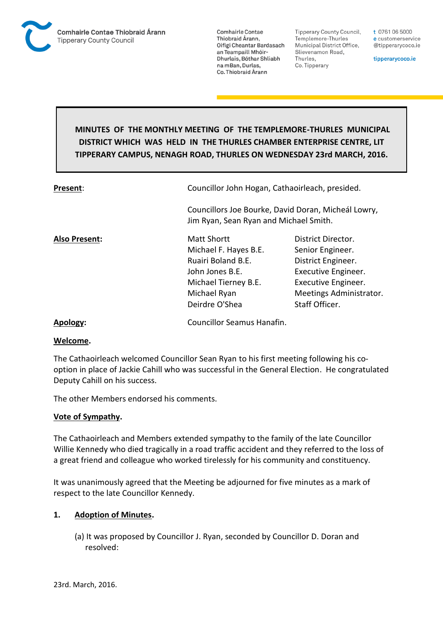

**Tipperary County Council,** Templemore-Thurles Municipal District Office, Slievenamon Road, Thurles, Co. Tipperary

t 0761 06 5000 e customerservice @tipperarycoco.ie

tipperarycoco.ie

# **MINUTES OF THE MONTHLY MEETING OF THE TEMPLEMORE-THURLES MUNICIPAL DISTRICT WHICH WAS HELD IN THE THURLES CHAMBER ENTERPRISE CENTRE, LIT TIPPERARY CAMPUS, NENAGH ROAD, THURLES ON WEDNESDAY 23rd MARCH, 2016.**

| Present:             | Councillor John Hogan, Cathaoirleach, presided.                                                                                                |                                                                                                                                                         |  |
|----------------------|------------------------------------------------------------------------------------------------------------------------------------------------|---------------------------------------------------------------------------------------------------------------------------------------------------------|--|
|                      | Jim Ryan, Sean Ryan and Michael Smith.                                                                                                         | Councillors Joe Bourke, David Doran, Micheál Lowry,                                                                                                     |  |
| <b>Also Present:</b> | <b>Matt Shortt</b><br>Michael F. Hayes B.E.<br>Ruairi Boland B.E.<br>John Jones B.E.<br>Michael Tierney B.E.<br>Michael Ryan<br>Deirdre O'Shea | District Director.<br>Senior Engineer.<br>District Engineer.<br>Executive Engineer.<br>Executive Engineer.<br>Meetings Administrator.<br>Staff Officer. |  |
| A  . 1               | Causailles Caassaria Hanafin                                                                                                                   |                                                                                                                                                         |  |

**Apology:** Councillor Seamus Hanafin.

#### **Welcome.**

The Cathaoirleach welcomed Councillor Sean Ryan to his first meeting following his cooption in place of Jackie Cahill who was successful in the General Election. He congratulated Deputy Cahill on his success.

The other Members endorsed his comments.

### **Vote of Sympathy.**

The Cathaoirleach and Members extended sympathy to the family of the late Councillor Willie Kennedy who died tragically in a road traffic accident and they referred to the loss of a great friend and colleague who worked tirelessly for his community and constituency.

It was unanimously agreed that the Meeting be adjourned for five minutes as a mark of respect to the late Councillor Kennedy.

### **1. Adoption of Minutes.**

(a) It was proposed by Councillor J. Ryan, seconded by Councillor D. Doran and resolved: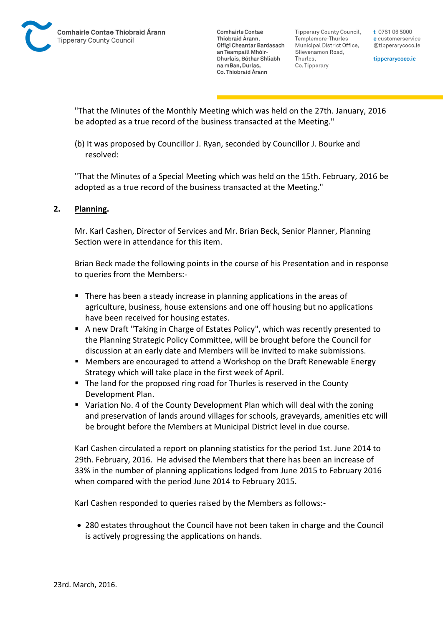Tipperary County Council. Templemore-Thurles Municipal District Office, Slievenamon Road, Thurles, Co. Tipperary

t 0761 06 5000 e customerservice @tipperarycoco.ie

tipperarycoco.ie

"That the Minutes of the Monthly Meeting which was held on the 27th. January, 2016 be adopted as a true record of the business transacted at the Meeting."

(b) It was proposed by Councillor J. Ryan, seconded by Councillor J. Bourke and resolved:

"That the Minutes of a Special Meeting which was held on the 15th. February, 2016 be adopted as a true record of the business transacted at the Meeting."

# **2. Planning.**

Mr. Karl Cashen, Director of Services and Mr. Brian Beck, Senior Planner, Planning Section were in attendance for this item.

Brian Beck made the following points in the course of his Presentation and in response to queries from the Members:-

- There has been a steady increase in planning applications in the areas of agriculture, business, house extensions and one off housing but no applications have been received for housing estates.
- A new Draft "Taking in Charge of Estates Policy", which was recently presented to the Planning Strategic Policy Committee, will be brought before the Council for discussion at an early date and Members will be invited to make submissions.
- Members are encouraged to attend a Workshop on the Draft Renewable Energy Strategy which will take place in the first week of April.
- The land for the proposed ring road for Thurles is reserved in the County Development Plan.
- Variation No. 4 of the County Development Plan which will deal with the zoning and preservation of lands around villages for schools, graveyards, amenities etc will be brought before the Members at Municipal District level in due course.

Karl Cashen circulated a report on planning statistics for the period 1st. June 2014 to 29th. February, 2016. He advised the Members that there has been an increase of 33% in the number of planning applications lodged from June 2015 to February 2016 when compared with the period June 2014 to February 2015.

Karl Cashen responded to queries raised by the Members as follows:-

 280 estates throughout the Council have not been taken in charge and the Council is actively progressing the applications on hands.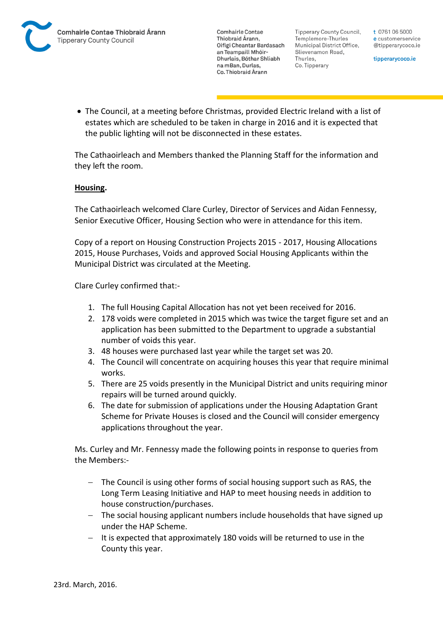

Tipperary County Council. Templemore-Thurles Municipal District Office, Slievenamon Road, Thurles, Co. Tipperary

t 0761 06 5000 e customerservice @tipperarycoco.ie

tipperarycoco.ie

 The Council, at a meeting before Christmas, provided Electric Ireland with a list of estates which are scheduled to be taken in charge in 2016 and it is expected that the public lighting will not be disconnected in these estates.

The Cathaoirleach and Members thanked the Planning Staff for the information and they left the room.

### **Housing.**

The Cathaoirleach welcomed Clare Curley, Director of Services and Aidan Fennessy, Senior Executive Officer, Housing Section who were in attendance for this item.

Copy of a report on Housing Construction Projects 2015 - 2017, Housing Allocations 2015, House Purchases, Voids and approved Social Housing Applicants within the Municipal District was circulated at the Meeting.

Clare Curley confirmed that:-

- 1. The full Housing Capital Allocation has not yet been received for 2016.
- 2. 178 voids were completed in 2015 which was twice the target figure set and an application has been submitted to the Department to upgrade a substantial number of voids this year.
- 3. 48 houses were purchased last year while the target set was 20.
- 4. The Council will concentrate on acquiring houses this year that require minimal works.
- 5. There are 25 voids presently in the Municipal District and units requiring minor repairs will be turned around quickly.
- 6. The date for submission of applications under the Housing Adaptation Grant Scheme for Private Houses is closed and the Council will consider emergency applications throughout the year.

Ms. Curley and Mr. Fennessy made the following points in response to queries from the Members:-

- The Council is using other forms of social housing support such as RAS, the Long Term Leasing Initiative and HAP to meet housing needs in addition to house construction/purchases.
- The social housing applicant numbers include households that have signed up under the HAP Scheme.
- $-$  It is expected that approximately 180 voids will be returned to use in the County this year.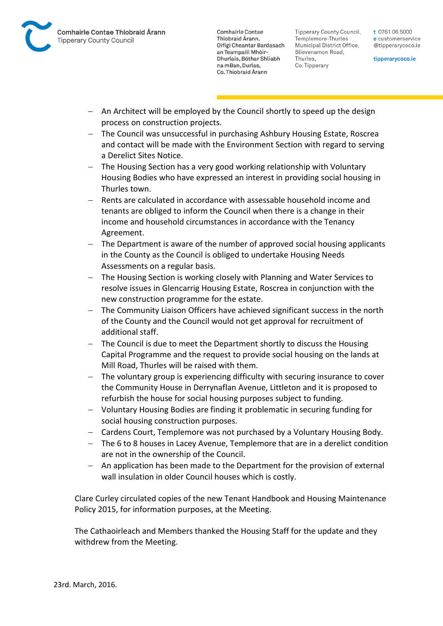

Tipperary County Council. Templemore-Thurles Municipal District Office, Slievenamon Road, Thurles, Co. Tipperary

t 0761 06 5000 e customerservice @tipperarycoco.ie

tipperarycoco.ie

- An Architect will be employed by the Council shortly to speed up the design process on construction projects.
- The Council was unsuccessful in purchasing Ashbury Housing Estate, Roscrea and contact will be made with the Environment Section with regard to serving a Derelict Sites Notice.
- The Housing Section has a very good working relationship with Voluntary Housing Bodies who have expressed an interest in providing social housing in Thurles town.
- Rents are calculated in accordance with assessable household income and tenants are obliged to inform the Council when there is a change in their income and household circumstances in accordance with the Tenancy Agreement.
- The Department is aware of the number of approved social housing applicants in the County as the Council is obliged to undertake Housing Needs Assessments on a regular basis.
- The Housing Section is working closely with Planning and Water Services to resolve issues in Glencarrig Housing Estate, Roscrea in conjunction with the new construction programme for the estate.
- The Community Liaison Officers have achieved significant success in the north of the County and the Council would not get approval for recruitment of additional staff.
- The Council is due to meet the Department shortly to discuss the Housing Capital Programme and the request to provide social housing on the lands at Mill Road, Thurles will be raised with them.
- The voluntary group is experiencing difficulty with securing insurance to cover the Community House in Derrynaflan Avenue, Littleton and it is proposed to refurbish the house for social housing purposes subject to funding.
- Voluntary Housing Bodies are finding it problematic in securing funding for social housing construction purposes.
- Cardens Court, Templemore was not purchased by a Voluntary Housing Body.
- The 6 to 8 houses in Lacey Avenue, Templemore that are in a derelict condition are not in the ownership of the Council.
- An application has been made to the Department for the provision of external wall insulation in older Council houses which is costly.

Clare Curley circulated copies of the new Tenant Handbook and Housing Maintenance Policy 2015, for information purposes, at the Meeting.

The Cathaoirleach and Members thanked the Housing Staff for the update and they withdrew from the Meeting.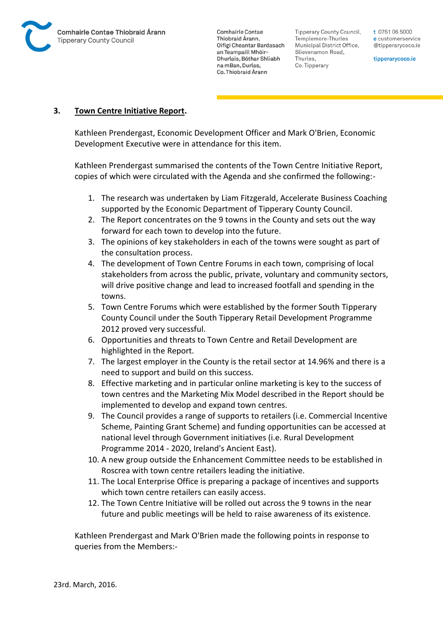

Tipperary County Council. Templemore-Thurles Municipal District Office, Slievenamon Road, Thurles, Co. Tipperary

t 0761 06 5000 e customerservice @tipperarycoco.ie

tipperarycoco.ie

### **3. Town Centre Initiative Report.**

Kathleen Prendergast, Economic Development Officer and Mark O'Brien, Economic Development Executive were in attendance for this item.

Kathleen Prendergast summarised the contents of the Town Centre Initiative Report, copies of which were circulated with the Agenda and she confirmed the following:-

- 1. The research was undertaken by Liam Fitzgerald, Accelerate Business Coaching supported by the Economic Department of Tipperary County Council.
- 2. The Report concentrates on the 9 towns in the County and sets out the way forward for each town to develop into the future.
- 3. The opinions of key stakeholders in each of the towns were sought as part of the consultation process.
- 4. The development of Town Centre Forums in each town, comprising of local stakeholders from across the public, private, voluntary and community sectors, will drive positive change and lead to increased footfall and spending in the towns.
- 5. Town Centre Forums which were established by the former South Tipperary County Council under the South Tipperary Retail Development Programme 2012 proved very successful.
- 6. Opportunities and threats to Town Centre and Retail Development are highlighted in the Report.
- 7. The largest employer in the County is the retail sector at 14.96% and there is a need to support and build on this success.
- 8. Effective marketing and in particular online marketing is key to the success of town centres and the Marketing Mix Model described in the Report should be implemented to develop and expand town centres.
- 9. The Council provides a range of supports to retailers (i.e. Commercial Incentive Scheme, Painting Grant Scheme) and funding opportunities can be accessed at national level through Government initiatives (i.e. Rural Development Programme 2014 - 2020, Ireland's Ancient East).
- 10. A new group outside the Enhancement Committee needs to be established in Roscrea with town centre retailers leading the initiative.
- 11. The Local Enterprise Office is preparing a package of incentives and supports which town centre retailers can easily access.
- 12. The Town Centre Initiative will be rolled out across the 9 towns in the near future and public meetings will be held to raise awareness of its existence.

Kathleen Prendergast and Mark O'Brien made the following points in response to queries from the Members:-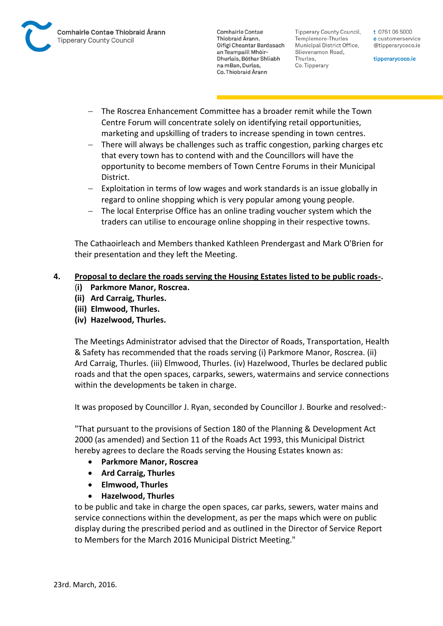

Tipperary County Council. Templemore-Thurles Municipal District Office, Slievenamon Road, Thurles, Co. Tipperary

t 0761 06 5000 e customerservice @tipperarycoco.ie

tipperarycoco.ie

- The Roscrea Enhancement Committee has a broader remit while the Town Centre Forum will concentrate solely on identifying retail opportunities, marketing and upskilling of traders to increase spending in town centres.
- There will always be challenges such as traffic congestion, parking charges etc that every town has to contend with and the Councillors will have the opportunity to become members of Town Centre Forums in their Municipal District.
- Exploitation in terms of low wages and work standards is an issue globally in regard to online shopping which is very popular among young people.
- The local Enterprise Office has an online trading voucher system which the traders can utilise to encourage online shopping in their respective towns.

The Cathaoirleach and Members thanked Kathleen Prendergast and Mark O'Brien for their presentation and they left the Meeting.

# **4. Proposal to declare the roads serving the Housing Estates listed to be public roads-.**

- (**i) Parkmore Manor, Roscrea.**
- **(ii) Ard Carraig, Thurles.**
- **(iii) Elmwood, Thurles.**
- **(iv) Hazelwood, Thurles.**

The Meetings Administrator advised that the Director of Roads, Transportation, Health & Safety has recommended that the roads serving (i) Parkmore Manor, Roscrea. (ii) Ard Carraig, Thurles. (iii) Elmwood, Thurles. (iv) Hazelwood, Thurles be declared public roads and that the open spaces, carparks, sewers, watermains and service connections within the developments be taken in charge.

It was proposed by Councillor J. Ryan, seconded by Councillor J. Bourke and resolved:-

"That pursuant to the provisions of Section 180 of the Planning & Development Act 2000 (as amended) and Section 11 of the Roads Act 1993, this Municipal District hereby agrees to declare the Roads serving the Housing Estates known as:

- **Parkmore Manor, Roscrea**
- **Ard Carraig, Thurles**
- **Elmwood, Thurles**
- **Hazelwood, Thurles**

to be public and take in charge the open spaces, car parks, sewers, water mains and service connections within the development, as per the maps which were on public display during the prescribed period and as outlined in the Director of Service Report to Members for the March 2016 Municipal District Meeting."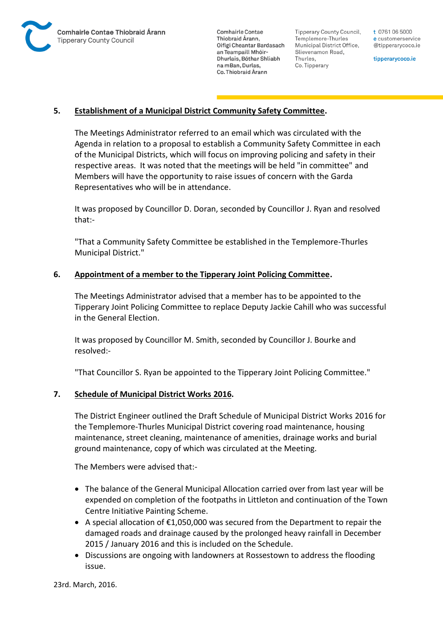

Tipperary County Council. Templemore-Thurles Municipal District Office, Slievenamon Road, Thurles, Co. Tipperary

t 0761 06 5000 e customerservice @tipperarycoco.ie

tipperarycoco.ie

### **5. Establishment of a Municipal District Community Safety Committee.**

The Meetings Administrator referred to an email which was circulated with the Agenda in relation to a proposal to establish a Community Safety Committee in each of the Municipal Districts, which will focus on improving policing and safety in their respective areas. It was noted that the meetings will be held "in committee" and Members will have the opportunity to raise issues of concern with the Garda Representatives who will be in attendance.

It was proposed by Councillor D. Doran, seconded by Councillor J. Ryan and resolved that:-

"That a Community Safety Committee be established in the Templemore-Thurles Municipal District."

### **6. Appointment of a member to the Tipperary Joint Policing Committee.**

The Meetings Administrator advised that a member has to be appointed to the Tipperary Joint Policing Committee to replace Deputy Jackie Cahill who was successful in the General Election.

It was proposed by Councillor M. Smith, seconded by Councillor J. Bourke and resolved:-

"That Councillor S. Ryan be appointed to the Tipperary Joint Policing Committee."

### **7. Schedule of Municipal District Works 2016.**

The District Engineer outlined the Draft Schedule of Municipal District Works 2016 for the Templemore-Thurles Municipal District covering road maintenance, housing maintenance, street cleaning, maintenance of amenities, drainage works and burial ground maintenance, copy of which was circulated at the Meeting.

The Members were advised that:-

- The balance of the General Municipal Allocation carried over from last year will be expended on completion of the footpaths in Littleton and continuation of the Town Centre Initiative Painting Scheme.
- A special allocation of €1,050,000 was secured from the Department to repair the damaged roads and drainage caused by the prolonged heavy rainfall in December 2015 / January 2016 and this is included on the Schedule.
- Discussions are ongoing with landowners at Rossestown to address the flooding issue.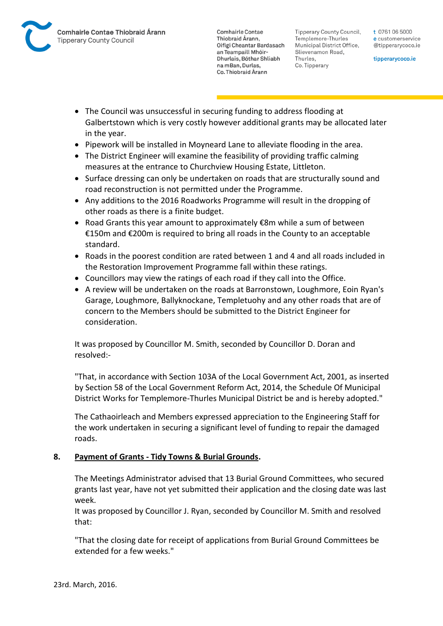Tipperary County Council. Templemore-Thurles Municipal District Office, Slievenamon Road, Thurles, Co. Tipperary

t 0761 06 5000 e customerservice @tipperarycoco.ie

tipperarycoco.ie

- The Council was unsuccessful in securing funding to address flooding at Galbertstown which is very costly however additional grants may be allocated later in the year.
- Pipework will be installed in Moyneard Lane to alleviate flooding in the area.
- The District Engineer will examine the feasibility of providing traffic calming measures at the entrance to Churchview Housing Estate, Littleton.
- Surface dressing can only be undertaken on roads that are structurally sound and road reconstruction is not permitted under the Programme.
- Any additions to the 2016 Roadworks Programme will result in the dropping of other roads as there is a finite budget.
- Road Grants this year amount to approximately €8m while a sum of between €150m and €200m is required to bring all roads in the County to an acceptable standard.
- Roads in the poorest condition are rated between 1 and 4 and all roads included in the Restoration Improvement Programme fall within these ratings.
- Councillors may view the ratings of each road if they call into the Office.
- A review will be undertaken on the roads at Barronstown, Loughmore, Eoin Ryan's Garage, Loughmore, Ballyknockane, Templetuohy and any other roads that are of concern to the Members should be submitted to the District Engineer for consideration.

It was proposed by Councillor M. Smith, seconded by Councillor D. Doran and resolved:-

"That, in accordance with Section 103A of the Local Government Act, 2001, as inserted by Section 58 of the Local Government Reform Act, 2014, the Schedule Of Municipal District Works for Templemore-Thurles Municipal District be and is hereby adopted."

The Cathaoirleach and Members expressed appreciation to the Engineering Staff for the work undertaken in securing a significant level of funding to repair the damaged roads.

# **8. Payment of Grants - Tidy Towns & Burial Grounds.**

The Meetings Administrator advised that 13 Burial Ground Committees, who secured grants last year, have not yet submitted their application and the closing date was last week.

It was proposed by Councillor J. Ryan, seconded by Councillor M. Smith and resolved that:

"That the closing date for receipt of applications from Burial Ground Committees be extended for a few weeks."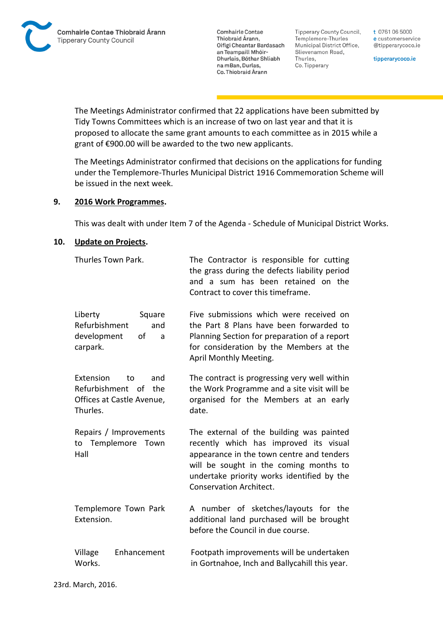**Tipperary County Council,** Templemore-Thurles Municipal District Office, Slievenamon Road, Thurles, Co. Tipperary

t 0761 06 5000 e customerservice @tipperarycoco.ie

tipperarycoco.ie

The Meetings Administrator confirmed that 22 applications have been submitted by Tidy Towns Committees which is an increase of two on last year and that it is proposed to allocate the same grant amounts to each committee as in 2015 while a grant of €900.00 will be awarded to the two new applicants.

The Meetings Administrator confirmed that decisions on the applications for funding under the Templemore-Thurles Municipal District 1916 Commemoration Scheme will be issued in the next week.

#### **9. 2016 Work Programmes.**

This was dealt with under Item 7 of the Agenda - Schedule of Municipal District Works.

#### **10. Update on Projects.**

| Thurles Town Park.                                                                                | The Contractor is responsible for cutting<br>the grass during the defects liability period<br>and a sum has been retained on the<br>Contract to cover this timeframe.                                                                                     |
|---------------------------------------------------------------------------------------------------|-----------------------------------------------------------------------------------------------------------------------------------------------------------------------------------------------------------------------------------------------------------|
| Liberty<br>Square<br>Refurbishment<br>and<br>of<br>development<br>a<br>carpark.                   | Five submissions which were received on<br>the Part 8 Plans have been forwarded to<br>Planning Section for preparation of a report<br>for consideration by the Members at the<br>April Monthly Meeting.                                                   |
| <b>Extension</b><br>to<br>and<br>Refurbishment of<br>the<br>Offices at Castle Avenue,<br>Thurles. | The contract is progressing very well within<br>the Work Programme and a site visit will be<br>organised for the Members at an early<br>date.                                                                                                             |
| Repairs / Improvements<br>Templemore<br>Town<br>to<br>Hall                                        | The external of the building was painted<br>recently which has improved its visual<br>appearance in the town centre and tenders<br>will be sought in the coming months to<br>undertake priority works identified by the<br><b>Conservation Architect.</b> |
| Templemore Town Park<br>Extension.                                                                | A number of sketches/layouts for the<br>additional land purchased will be brought<br>before the Council in due course.                                                                                                                                    |
| Village<br>Enhancement<br>Works.                                                                  | Footpath improvements will be undertaken<br>in Gortnahoe, Inch and Ballycahill this year.                                                                                                                                                                 |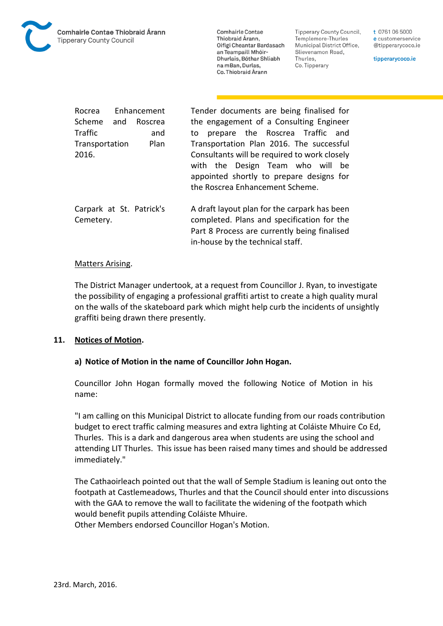

**Tipperary County Council,** Templemore-Thurles Municipal District Office, Slievenamon Road, Thurles, Co. Tipperary

t 0761 06 5000 e customerservice @tipperarycoco.ie

tipperarycoco.ie

| Enhancement<br>Rocrea                 |  |         | Tender documents are being finalised for                                                                                                                                       |
|---------------------------------------|--|---------|--------------------------------------------------------------------------------------------------------------------------------------------------------------------------------|
| Scheme and                            |  | Roscrea | the engagement of a Consulting Engineer                                                                                                                                        |
| <b>Traffic</b>                        |  | and     | prepare the Roscrea Traffic and<br>to                                                                                                                                          |
| Transportation                        |  | Plan    | Transportation Plan 2016. The successful                                                                                                                                       |
| 2016.                                 |  |         | Consultants will be required to work closely<br>with the Design Team who will be<br>appointed shortly to prepare designs for<br>the Roscrea Enhancement Scheme.                |
| Carpark at St. Patrick's<br>Cemetery. |  |         | A draft layout plan for the carpark has been<br>completed. Plans and specification for the<br>Part 8 Process are currently being finalised<br>in-house by the technical staff. |

#### Matters Arising.

The District Manager undertook, at a request from Councillor J. Ryan, to investigate the possibility of engaging a professional graffiti artist to create a high quality mural on the walls of the skateboard park which might help curb the incidents of unsightly graffiti being drawn there presently.

### **11. Notices of Motion.**

### **a) Notice of Motion in the name of Councillor John Hogan.**

Councillor John Hogan formally moved the following Notice of Motion in his name:

"I am calling on this Municipal District to allocate funding from our roads contribution budget to erect traffic calming measures and extra lighting at Coláiste Mhuire Co Ed, Thurles. This is a dark and dangerous area when students are using the school and attending LIT Thurles. This issue has been raised many times and should be addressed immediately."

The Cathaoirleach pointed out that the wall of Semple Stadium is leaning out onto the footpath at Castlemeadows, Thurles and that the Council should enter into discussions with the GAA to remove the wall to facilitate the widening of the footpath which would benefit pupils attending Coláiste Mhuire.

Other Members endorsed Councillor Hogan's Motion.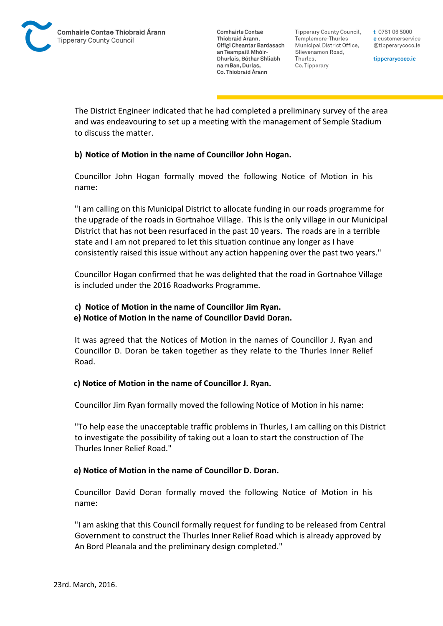Tipperary County Council. Templemore-Thurles Municipal District Office, Slievenamon Road, Thurles, Co. Tipperary

t 0761 06 5000 e customerservice @tipperarycoco.ie

tipperarycoco.ie

The District Engineer indicated that he had completed a preliminary survey of the area and was endeavouring to set up a meeting with the management of Semple Stadium to discuss the matter.

# **b) Notice of Motion in the name of Councillor John Hogan.**

Councillor John Hogan formally moved the following Notice of Motion in his name:

"I am calling on this Municipal District to allocate funding in our roads programme for the upgrade of the roads in Gortnahoe Village. This is the only village in our Municipal District that has not been resurfaced in the past 10 years. The roads are in a terrible state and I am not prepared to let this situation continue any longer as I have consistently raised this issue without any action happening over the past two years."

Councillor Hogan confirmed that he was delighted that the road in Gortnahoe Village is included under the 2016 Roadworks Programme.

# **c) Notice of Motion in the name of Councillor Jim Ryan.**

### **e) Notice of Motion in the name of Councillor David Doran.**

It was agreed that the Notices of Motion in the names of Councillor J. Ryan and Councillor D. Doran be taken together as they relate to the Thurles Inner Relief Road.

# **c) Notice of Motion in the name of Councillor J. Ryan.**

Councillor Jim Ryan formally moved the following Notice of Motion in his name:

"To help ease the unacceptable traffic problems in Thurles, I am calling on this District to investigate the possibility of taking out a loan to start the construction of The Thurles Inner Relief Road."

### **e) Notice of Motion in the name of Councillor D. Doran.**

Councillor David Doran formally moved the following Notice of Motion in his name:

"I am asking that this Council formally request for funding to be released from Central Government to construct the Thurles Inner Relief Road which is already approved by An Bord Pleanala and the preliminary design completed."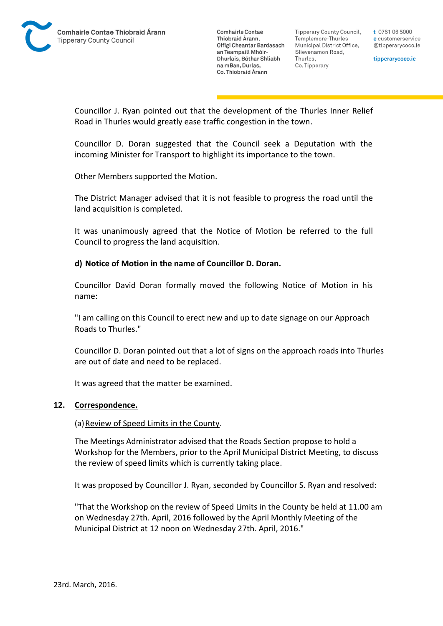

Tipperary County Council. Templemore-Thurles Municipal District Office, Slievenamon Road, Thurles, Co. Tipperary

t 0761 06 5000 e customerservice @tipperarycoco.ie

tipperarycoco.ie

Councillor J. Ryan pointed out that the development of the Thurles Inner Relief Road in Thurles would greatly ease traffic congestion in the town.

Councillor D. Doran suggested that the Council seek a Deputation with the incoming Minister for Transport to highlight its importance to the town.

Other Members supported the Motion.

The District Manager advised that it is not feasible to progress the road until the land acquisition is completed.

It was unanimously agreed that the Notice of Motion be referred to the full Council to progress the land acquisition.

#### **d) Notice of Motion in the name of Councillor D. Doran.**

Councillor David Doran formally moved the following Notice of Motion in his name:

"I am calling on this Council to erect new and up to date signage on our Approach Roads to Thurles."

Councillor D. Doran pointed out that a lot of signs on the approach roads into Thurles are out of date and need to be replaced.

It was agreed that the matter be examined.

#### **12. Correspondence.**

(a) Review of Speed Limits in the County.

The Meetings Administrator advised that the Roads Section propose to hold a Workshop for the Members, prior to the April Municipal District Meeting, to discuss the review of speed limits which is currently taking place.

It was proposed by Councillor J. Ryan, seconded by Councillor S. Ryan and resolved:

"That the Workshop on the review of Speed Limits in the County be held at 11.00 am on Wednesday 27th. April, 2016 followed by the April Monthly Meeting of the Municipal District at 12 noon on Wednesday 27th. April, 2016."